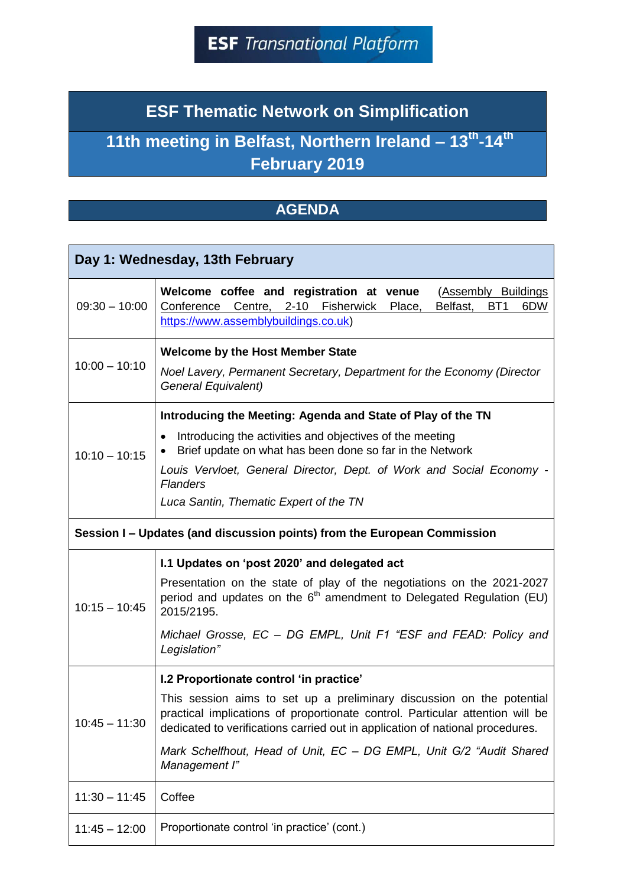## **ESF Thematic Network on Simplification**

## **11th meeting in Belfast, Northern Ireland – 13th -14th February 2019**

## **AGENDA**

| Day 1: Wednesday, 13th February                                          |                                                                                                                                                                                                                                                                                                                                                                            |  |
|--------------------------------------------------------------------------|----------------------------------------------------------------------------------------------------------------------------------------------------------------------------------------------------------------------------------------------------------------------------------------------------------------------------------------------------------------------------|--|
| $09:30 - 10:00$                                                          | Welcome coffee and registration at venue<br>(Assembly Buildings<br>Conference Centre, 2-10 Fisherwick<br>BT <sub>1</sub><br>Place,<br>Belfast,<br>6DW<br>https://www.assemblybuildings.co.uk)                                                                                                                                                                              |  |
| $10:00 - 10:10$                                                          | <b>Welcome by the Host Member State</b><br>Noel Lavery, Permanent Secretary, Department for the Economy (Director<br>General Equivalent)                                                                                                                                                                                                                                   |  |
| $10:10 - 10:15$                                                          | Introducing the Meeting: Agenda and State of Play of the TN<br>Introducing the activities and objectives of the meeting<br>$\bullet$<br>Brief update on what has been done so far in the Network<br>Louis Vervloet, General Director, Dept. of Work and Social Economy -<br><b>Flanders</b><br>Luca Santin, Thematic Expert of the TN                                      |  |
| Session I – Updates (and discussion points) from the European Commission |                                                                                                                                                                                                                                                                                                                                                                            |  |
| $10:15 - 10:45$                                                          | I.1 Updates on 'post 2020' and delegated act<br>Presentation on the state of play of the negotiations on the 2021-2027<br>period and updates on the 6 <sup>th</sup> amendment to Delegated Regulation (EU)<br>2015/2195.<br>Michael Grosse, EC - DG EMPL, Unit F1 "ESF and FEAD: Policy and<br>Legislation"                                                                |  |
| $10:45 - 11:30$                                                          | I.2 Proportionate control 'in practice'<br>This session aims to set up a preliminary discussion on the potential<br>practical implications of proportionate control. Particular attention will be<br>dedicated to verifications carried out in application of national procedures.<br>Mark Schelfhout, Head of Unit, EC - DG EMPL, Unit G/2 "Audit Shared<br>Management I" |  |
| $11:30 - 11:45$                                                          | Coffee                                                                                                                                                                                                                                                                                                                                                                     |  |
| $11:45 - 12:00$                                                          | Proportionate control 'in practice' (cont.)                                                                                                                                                                                                                                                                                                                                |  |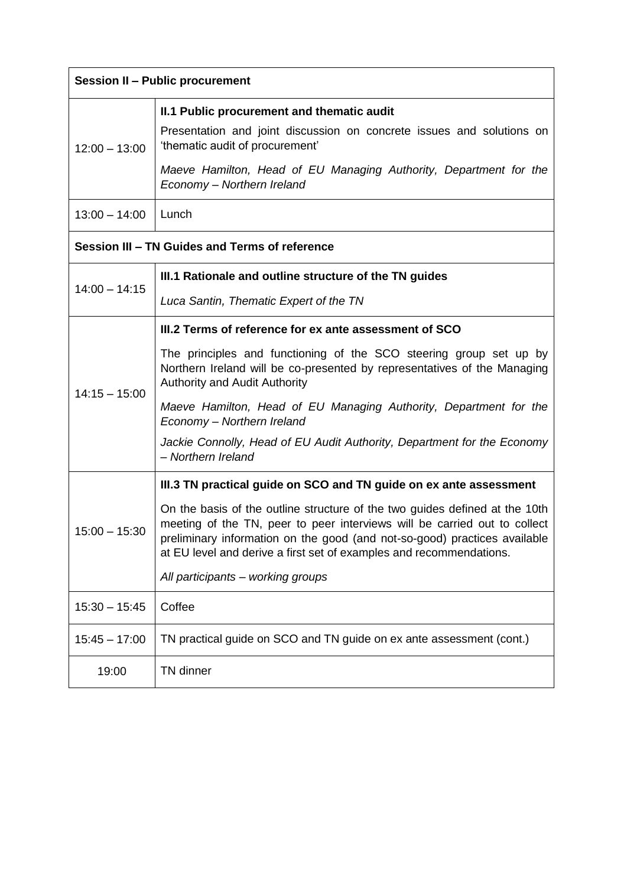| <b>Session II - Public procurement</b>         |                                                                                                                                                                                                                                                                                                              |  |
|------------------------------------------------|--------------------------------------------------------------------------------------------------------------------------------------------------------------------------------------------------------------------------------------------------------------------------------------------------------------|--|
|                                                | II.1 Public procurement and thematic audit                                                                                                                                                                                                                                                                   |  |
| $12:00 - 13:00$                                | Presentation and joint discussion on concrete issues and solutions on<br>'thematic audit of procurement'                                                                                                                                                                                                     |  |
|                                                | Maeve Hamilton, Head of EU Managing Authority, Department for the<br>Economy - Northern Ireland                                                                                                                                                                                                              |  |
| $13:00 - 14:00$                                | Lunch                                                                                                                                                                                                                                                                                                        |  |
| Session III - TN Guides and Terms of reference |                                                                                                                                                                                                                                                                                                              |  |
| $14:00 - 14:15$                                | III.1 Rationale and outline structure of the TN guides                                                                                                                                                                                                                                                       |  |
|                                                | Luca Santin, Thematic Expert of the TN                                                                                                                                                                                                                                                                       |  |
| $14:15 - 15:00$                                | III.2 Terms of reference for ex ante assessment of SCO                                                                                                                                                                                                                                                       |  |
|                                                | The principles and functioning of the SCO steering group set up by<br>Northern Ireland will be co-presented by representatives of the Managing<br><b>Authority and Audit Authority</b>                                                                                                                       |  |
|                                                | Maeve Hamilton, Head of EU Managing Authority, Department for the<br>Economy - Northern Ireland                                                                                                                                                                                                              |  |
|                                                | Jackie Connolly, Head of EU Audit Authority, Department for the Economy<br>- Northern Ireland                                                                                                                                                                                                                |  |
| $15:00 - 15:30$                                | III.3 TN practical guide on SCO and TN guide on ex ante assessment                                                                                                                                                                                                                                           |  |
|                                                | On the basis of the outline structure of the two guides defined at the 10th<br>meeting of the TN, peer to peer interviews will be carried out to collect<br>preliminary information on the good (and not-so-good) practices available<br>at EU level and derive a first set of examples and recommendations. |  |
|                                                | All participants - working groups                                                                                                                                                                                                                                                                            |  |
| $15:30 - 15:45$                                | Coffee                                                                                                                                                                                                                                                                                                       |  |
| $15:45 - 17:00$                                | TN practical guide on SCO and TN guide on ex ante assessment (cont.)                                                                                                                                                                                                                                         |  |
| 19:00                                          | TN dinner                                                                                                                                                                                                                                                                                                    |  |